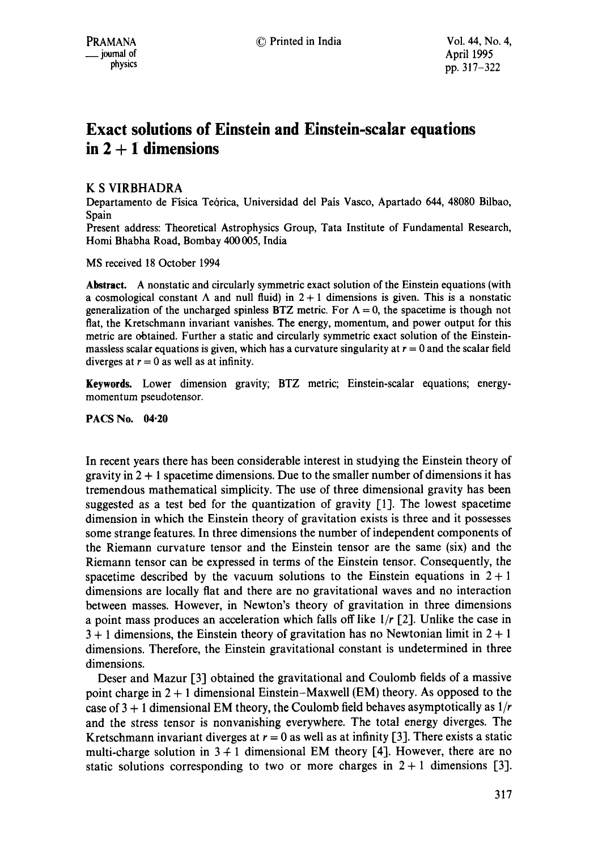# **Exact solutions of Einstein and Einstein-scalar equations in 2 + 1 dimensions**

## K S VIRBHADRA

Departamento de Fisica Te6rica, Universidad del Pais Vasco, Apartado 644, 48080 Bilbao, Spain

Present address: Theoretical Astrophysics Group, Tata Institute of Fundamental Research, Homi Bhabha Road, Bombay 400 005, India

MS received 18 October 1994

**Abstract.** A nonstatic and circularly symmetric exact solution of the Einstein equations (with a cosmological constant  $\Lambda$  and null fluid) in  $2 + 1$  dimensions is given. This is a nonstatic generalization of the uncharged spinless BTZ metric. For  $\Lambda = 0$ , the spacetime is though not fiat, the Kretschmann invariant vanishes. The energy, momentum, and power output for this metric are obtained. Further a static and circularly symmetric exact solution of the Einsteinmassless scalar equations is given, which has a curvature singularity at  $r = 0$  and the scalar field diverges at  $r = 0$  as well as at infinity.

Keywards. Lower dimension gravity; BTZ metric; Einstein-scalar equations; energymomentum pseudotensor.

## **PACS No. 04"20**

In recent years there has been considerable interest in studying the Einstein theory of gravity in  $2 + 1$  spacetime dimensions. Due to the smaller number of dimensions it has tremendous mathematical simplicity. The use of three dimensional gravity has been suggested as a test bed for the quantization of gravity  $[1]$ . The lowest spacetime dimension in which the Einstein theory of gravitation exists is three and it possesses some strange features. In three dimensions the number of independent components of the Riemann curvature tensor and the Einstein tensor are the same (six) and the Riemann tensor can be expressed in terms of the Einstein tensor. Consequently, the spacetime described by the vacuum solutions to the Einstein equations in  $2 + 1$ dimensions are locally fiat and there are no gravitational waves and no interaction between masses. However, in Newton's theory of gravitation in three dimensions a point mass produces an acceleration which fails off like *l/r* [2]. Unlike the case in  $3 + 1$  dimensions, the Einstein theory of gravitation has no Newtonian limit in  $2 + 1$ dimensions. Therefore, the Einstein gravitational constant is undetermined in three dimensions.

Deser and Mazur [3] obtained the gravitational and Coulomb fields of a massive point charge in 2 + 1 dimensional Einstein-Maxwell (EM) theory. As opposed to the case of 3 + 1 dimensional EM theory, the Coulomb field behaves asymptotically as *1/r*  and the stress tensor is nonvanishing everywhere. The total energy diverges. The Kretschmann invariant diverges at  $r = 0$  as well as at infinity [3]. There exists a static multi-charge solution in  $3 + 1$  dimensional EM theory [4]. However, there are no static solutions corresponding to two or more charges in  $2 + 1$  dimensions [3].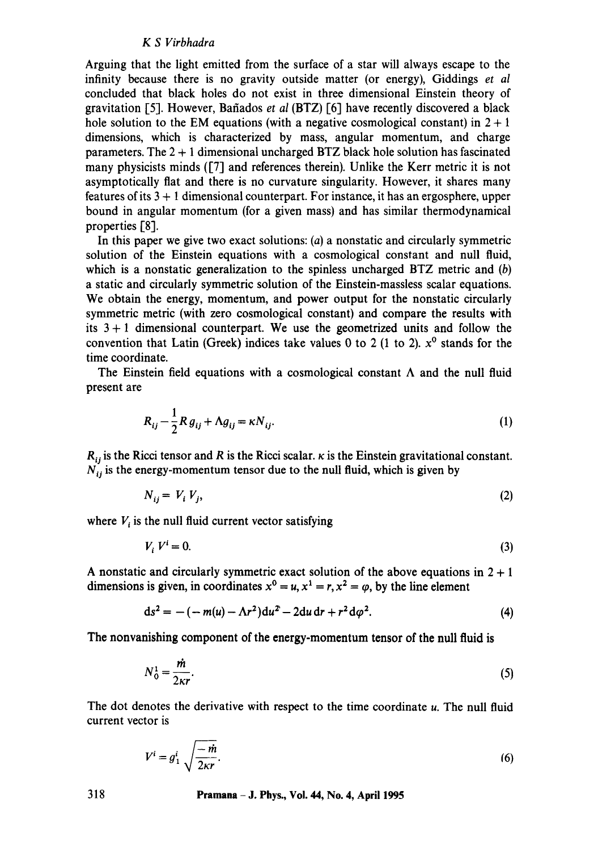#### *K S Virbhadra*

Arguing that the light emitted from the surface of a star will always escape to the infinity because there is no gravity outside matter (or energy), Giddings *et al*  concluded that black holes do not exist in three dimensional Einstein theory of gravitation [5]. However, Bafiados *et al* (BTZ) [6] have recently discovered a black hole solution to the EM equations (with a negative cosmological constant) in  $2 + 1$ dimensions, which is characterized by mass, angular momentum, and charge parameters. The  $2 + 1$  dimensional uncharged BTZ black hole solution has fascinated many physicists minds ([7] and references therein). Unlike the Kerr metric it is not asymptotically fiat and there is no curvature singularity. However, it shares many features of its 3 + 1 dimensional counterpart. For instance, it has an ergosphere, upper bound in angular momentum (for a given mass) and has similar thermodynamical properties [8].

In this paper we give two exact solutions: (a) a nonstatic and circularly symmetric solution of the Einstein equations with a cosmological constant and null fluid, which is a nonstatic generalization to the spinless uncharged  $BTZ$  metric and  $(b)$ a static and circularly symmetric solution of the Einstein-massless scalar equations. We obtain the energy, momentum, and power output for the nonstatic circularly symmetric metric (with zero cosmological constant) and compare the results with its  $3 + 1$  dimensional counterpart. We use the geometrized units and follow the convention that Latin (Greek) indices take values 0 to 2 (1 to 2).  $x^0$  stands for the time coordinate.

The Einstein field equations with a cosmological constant  $\Lambda$  and the null fluid present are

$$
R_{ij} - \frac{1}{2} R g_{ij} + \Lambda g_{ij} = \kappa N_{ij}.
$$
 (1)

 $R_{ij}$  is the Ricci tensor and R is the Ricci scalar,  $\kappa$  is the Einstein gravitational constant.  $N_{ij}$  is the energy-momentum tensor due to the null fluid, which is given by

$$
N_{ij} = V_i V_j, \tag{2}
$$

where  $V_i$  is the null fluid current vector satisfying

$$
V_i V^i = 0. \tag{3}
$$

A nonstatic and circularly symmetric exact solution of the above equations in  $2 + 1$ dimensions is given, in coordinates  $x^0 = u$ ,  $x^1 = r$ ,  $x^2 = \varphi$ , by the line element

$$
ds^{2} = -(-m(u) - \Lambda r^{2})du^{2} - 2du dr + r^{2} d\varphi^{2}.
$$
 (4)

The nonvanishing component of the energy-momentum tensor of the null fluid is

$$
N_0^1 = \frac{\dot{m}}{2\kappa r}.\tag{5}
$$

The dot denotes the derivative with respect to the time coordinate u. The null fluid current vector is

$$
V^i = g_1^i \sqrt{\frac{-m}{2\kappa r}}.\tag{6}
$$

**318 Pramana - J. Phys., Vol. 44, No. 4, April 1995**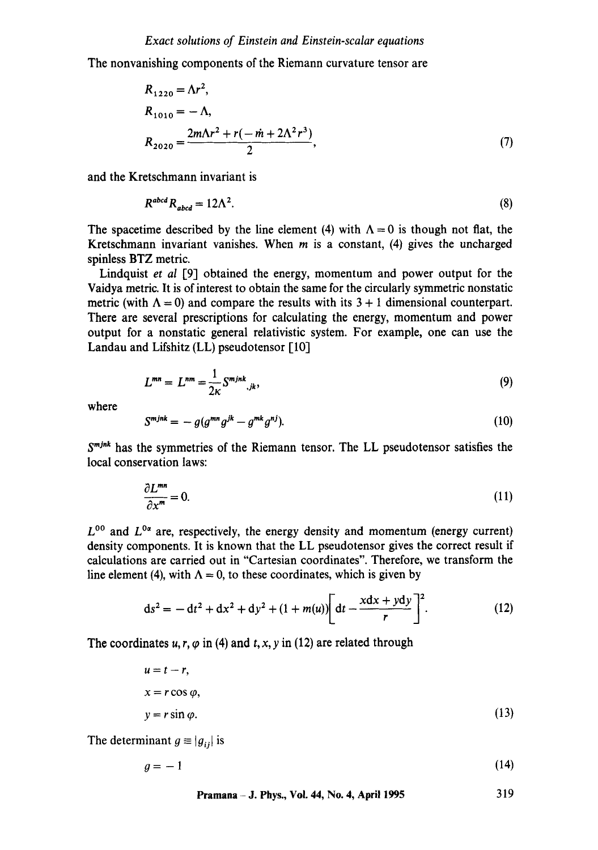The nonvanishing components of the Riemann curvature tensor are

$$
R_{1220} = \Lambda r^2,
$$
  
\n
$$
R_{1010} = -\Lambda,
$$
  
\n
$$
R_{2020} = \frac{2m\Lambda r^2 + r(-\dot{m} + 2\Lambda^2 r^3)}{2},
$$
\n(7)

and the Kretschmann invariant is

$$
R^{abcd}R_{abcd} = 12\Lambda^2. \tag{8}
$$

The spacetime described by the line element (4) with  $\Lambda = 0$  is though not flat, the Kretschmann invariant vanishes. When  $m$  is a constant, (4) gives the uncharged spinless BTZ metric.

Lindquist *et al* [9] obtained the energy, momentum and power output for the Vaidya metric. It is of interest to obtain the same for the circularly symmetric nonstatic metric (with  $\Lambda = 0$ ) and compare the results with its 3 + 1 dimensional counterpart. There are several prescriptions for calculating the energy, momentum and power output for a nonstatic general relativistic system. For example, one can use the Landau and Lifshitz  $(LL)$  pseudotensor  $[10]$ 

$$
L^{mn} = L^{nm} = \frac{1}{2\kappa} S^{mjnk},_{jk}, \qquad (9)
$$

where

$$
S^{mjnk} = -g(g^{mn}g^{jk} - g^{mk}g^{nj}).
$$
\n(10)

 $S<sup>mink</sup>$  has the symmetries of the Riemann tensor. The LL pseudotensor satisfies the local conservation laws:

$$
\frac{\partial L^{mn}}{\partial x^m} = 0. \tag{11}
$$

 $L^{00}$  and  $L^{0\alpha}$  are, respectively, the energy density and momentum (energy current) density components. It is known that the LL pseudotensor gives the correct result if calculations are carried out in "Cartesian coordinates". Therefore, we transform the line element (4), with  $\Lambda = 0$ , to these coordinates, which is given by

$$
ds^{2} = -dt^{2} + dx^{2} + dy^{2} + (1 + m(u)) \left[ dt - \frac{xdx + ydy}{r} \right]^{2}.
$$
 (12)

The coordinates  $u, r, \varphi$  in (4) and t, x, y in (12) are related through

$$
u = t - r,
$$
  
\n
$$
x = r \cos \varphi,
$$
  
\n
$$
y = r \sin \varphi.
$$
\n(13)

The determinant  $g \equiv |g_{ij}|$  is

$$
g = -1 \tag{14}
$$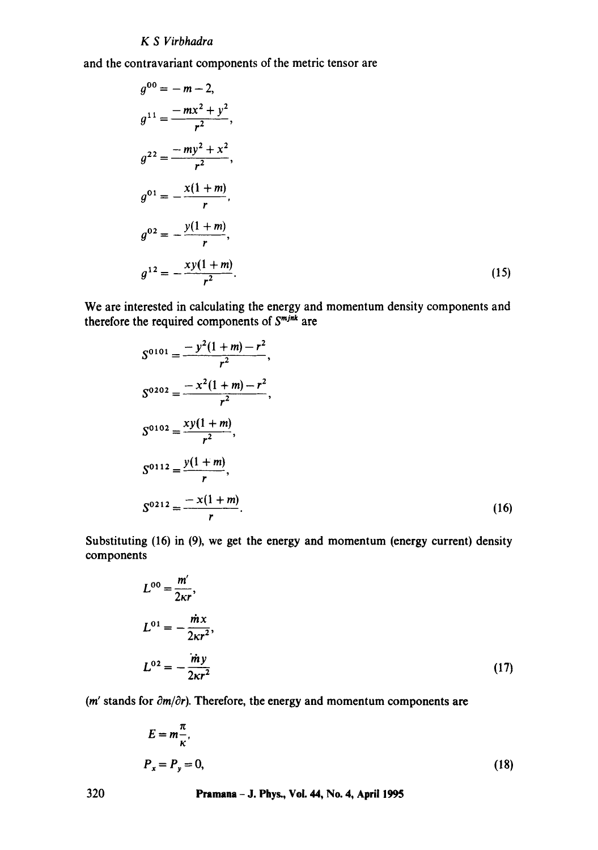## *K S Virbhadra*

and the contravariant components of the metric tensor are

$$
g^{00} = -m-2,
$$
  
\n
$$
g^{11} = \frac{-mx^2 + y^2}{r^2},
$$
  
\n
$$
g^{22} = \frac{-my^2 + x^2}{r^2},
$$
  
\n
$$
g^{01} = -\frac{x(1+m)}{r},
$$
  
\n
$$
g^{02} = -\frac{y(1+m)}{r},
$$
  
\n
$$
g^{12} = -\frac{xy(1+m)}{r^2}.
$$
\n(15)

We are interested in calculating the energy and momentum density components and therefore the required components of  $S^{m/mk}$  are

$$
S^{0101} = \frac{-y^2(1+m) - r^2}{r^2},
$$
  
\n
$$
S^{0202} = \frac{-x^2(1+m) - r^2}{r^2},
$$
  
\n
$$
S^{0102} = \frac{xy(1+m)}{r^2},
$$
  
\n
$$
S^{0112} = \frac{y(1+m)}{r},
$$
  
\n
$$
S^{0212} = \frac{-x(1+m)}{r}.
$$
  
\n(16)

Substituting (16) in (9), we get the energy and momentum (energy current) density components

$$
L^{00} = \frac{m'}{2\kappa r},
$$
  
\n
$$
L^{01} = -\frac{\dot{m}x}{2\kappa r^2},
$$
  
\n
$$
L^{02} = -\frac{\dot{m}y}{2\kappa r^2}
$$
\n(17)

( $m'$  stands for  $\partial m/\partial r$ ). Therefore, the energy and momentum components are

$$
E = m\frac{\pi}{\kappa},
$$
  

$$
P_x = P_y = 0,
$$
 (18)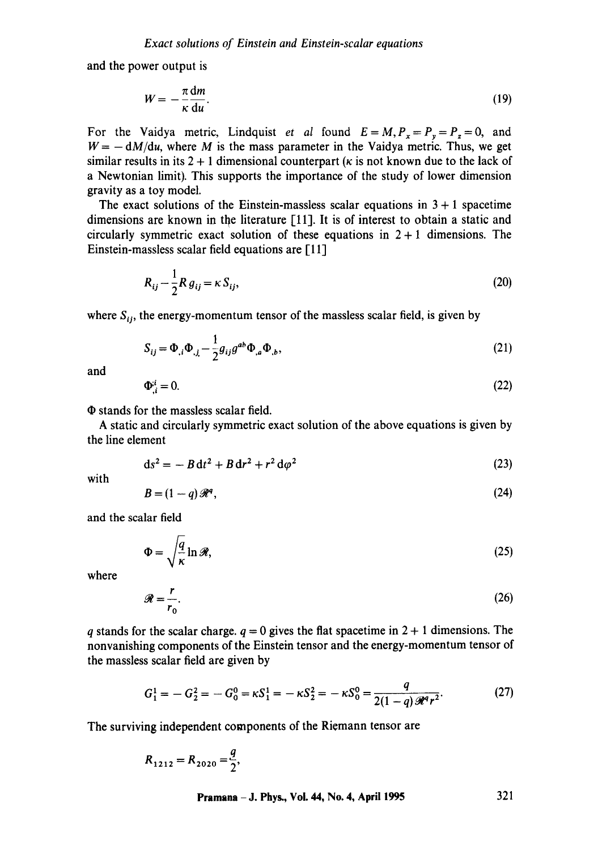and the power output is

$$
W = -\frac{\pi}{\kappa} \frac{dm}{du}.
$$
 (19)

For the Vaidya metric, Lindquist *et al* found  $E = M$ ,  $P_x = P_y = P_z = 0$ , and  $W = -dM/du$ , where M is the mass parameter in the Vaidya metric. Thus, we get similar results in its  $2 + 1$  dimensional counterpart ( $\kappa$  is not known due to the lack of a Newtonian limit). This supports the importance of the study of lower dimension gravity as a toy model.

The exact solutions of the Einstein-massless scalar equations in  $3 + 1$  spacetime dimensions are known in the literature [11]. It is of interest to obtain a static and circularly symmetric exact solution of these equations in  $2 + 1$  dimensions. The Einstein-massless scalar field equations are [11]

$$
R_{ij} - \frac{1}{2}R g_{ij} = \kappa S_{ij},\tag{20}
$$

where  $S_{ij}$ , the energy-momentum tensor of the massless scalar field, is given by

$$
S_{ij} = \Phi_{,i} \Phi_{,j} - \frac{1}{2} g_{ij} g^{ab} \Phi_{,a} \Phi_{,b},
$$
\n(21)

and

$$
\Phi_{,i}^{i} = 0. \tag{22}
$$

 $\Phi$  stands for the massless scalar field.

A static and circularly symmetric exact solution of the above equations is given by the line element

$$
ds^2 = -B dt^2 + B dr^2 + r^2 d\varphi^2
$$
 (23)

with

$$
B = (1 - q)\mathcal{R}^q,\tag{24}
$$

and the scalar field

$$
\Phi = \sqrt{\frac{q}{\kappa}} \ln \mathcal{R},\tag{25}
$$

where

$$
\mathcal{R} = \frac{r}{r_0}.\tag{26}
$$

q stands for the scalar charge,  $q = 0$  gives the flat spacetime in  $2 + 1$  dimensions. The nonvanishing components of the Einstein tensor and the energy-momentum tensor of the massless scalar field are given by

$$
G_1^1 = -G_2^2 = -G_0^0 = \kappa S_1^1 = -\kappa S_2^2 = -\kappa S_0^0 = \frac{q}{2(1-q)\mathscr{R}^4 r^2}.
$$
 (27)

The surviving independent components of the Riemann tensor are

$$
R_{1212} = R_{2020} = \frac{q}{2},
$$